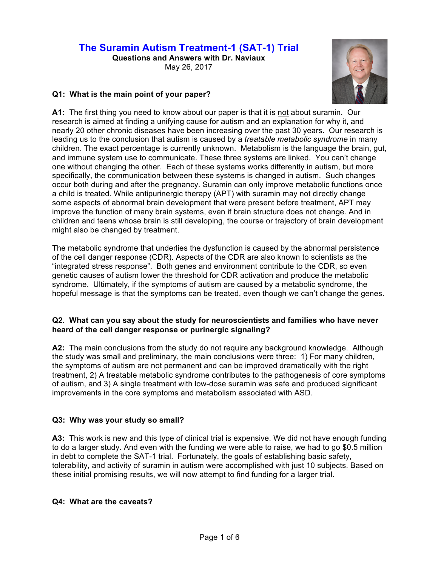# **The Suramin Autism Treatment-1 (SAT-1) Trial**

**Questions and Answers with Dr. Naviaux** May 26, 2017



## **Q1: What is the main point of your paper?**

**A1:** The first thing you need to know about our paper is that it is not about suramin. Our research is aimed at finding a unifying cause for autism and an explanation for why it, and nearly 20 other chronic diseases have been increasing over the past 30 years. Our research is leading us to the conclusion that autism is caused by a *treatable metabolic syndrome* in many children. The exact percentage is currently unknown. Metabolism is the language the brain, gut, and immune system use to communicate. These three systems are linked. You can't change one without changing the other. Each of these systems works differently in autism, but more specifically, the communication between these systems is changed in autism. Such changes occur both during and after the pregnancy. Suramin can only improve metabolic functions once a child is treated. While antipurinergic therapy (APT) with suramin may not directly change some aspects of abnormal brain development that were present before treatment, APT may improve the function of many brain systems, even if brain structure does not change. And in children and teens whose brain is still developing, the course or trajectory of brain development might also be changed by treatment.

The metabolic syndrome that underlies the dysfunction is caused by the abnormal persistence of the cell danger response (CDR). Aspects of the CDR are also known to scientists as the "integrated stress response". Both genes and environment contribute to the CDR, so even genetic causes of autism lower the threshold for CDR activation and produce the metabolic syndrome. Ultimately, if the symptoms of autism are caused by a metabolic syndrome, the hopeful message is that the symptoms can be treated, even though we can't change the genes.

## **Q2. What can you say about the study for neuroscientists and families who have never heard of the cell danger response or purinergic signaling?**

**A2:** The main conclusions from the study do not require any background knowledge. Although the study was small and preliminary, the main conclusions were three: 1) For many children, the symptoms of autism are not permanent and can be improved dramatically with the right treatment, 2) A treatable metabolic syndrome contributes to the pathogenesis of core symptoms of autism, and 3) A single treatment with low-dose suramin was safe and produced significant improvements in the core symptoms and metabolism associated with ASD.

# **Q3: Why was your study so small?**

**A3:** This work is new and this type of clinical trial is expensive. We did not have enough funding to do a larger study. And even with the funding we were able to raise, we had to go \$0.5 million in debt to complete the SAT-1 trial. Fortunately, the goals of establishing basic safety, tolerability, and activity of suramin in autism were accomplished with just 10 subjects. Based on these initial promising results, we will now attempt to find funding for a larger trial.

# **Q4: What are the caveats?**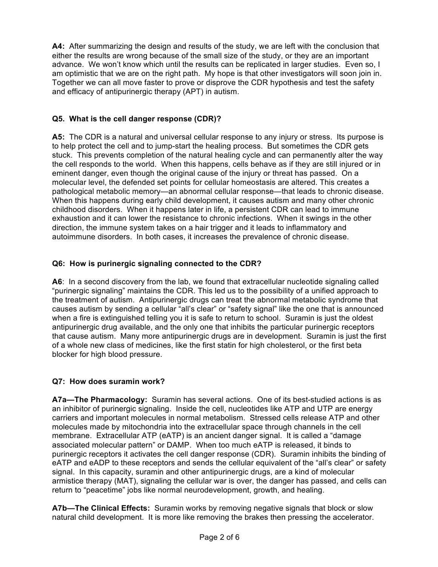**A4:** After summarizing the design and results of the study, we are left with the conclusion that either the results are wrong because of the small size of the study, or they are an important advance. We won't know which until the results can be replicated in larger studies. Even so, I am optimistic that we are on the right path. My hope is that other investigators will soon join in. Together we can all move faster to prove or disprove the CDR hypothesis and test the safety and efficacy of antipurinergic therapy (APT) in autism.

# **Q5. What is the cell danger response (CDR)?**

**A5:** The CDR is a natural and universal cellular response to any injury or stress. Its purpose is to help protect the cell and to jump-start the healing process. But sometimes the CDR gets stuck. This prevents completion of the natural healing cycle and can permanently alter the way the cell responds to the world. When this happens, cells behave as if they are still injured or in eminent danger, even though the original cause of the injury or threat has passed. On a molecular level, the defended set points for cellular homeostasis are altered. This creates a pathological metabolic memory—an abnormal cellular response—that leads to chronic disease. When this happens during early child development, it causes autism and many other chronic childhood disorders. When it happens later in life, a persistent CDR can lead to immune exhaustion and it can lower the resistance to chronic infections. When it swings in the other direction, the immune system takes on a hair trigger and it leads to inflammatory and autoimmune disorders. In both cases, it increases the prevalence of chronic disease.

## **Q6: How is purinergic signaling connected to the CDR?**

**A6**: In a second discovery from the lab, we found that extracellular nucleotide signaling called "purinergic signaling" maintains the CDR. This led us to the possibility of a unified approach to the treatment of autism. Antipurinergic drugs can treat the abnormal metabolic syndrome that causes autism by sending a cellular "all's clear" or "safety signal" like the one that is announced when a fire is extinguished telling you it is safe to return to school. Suramin is just the oldest antipurinergic drug available, and the only one that inhibits the particular purinergic receptors that cause autism. Many more antipurinergic drugs are in development. Suramin is just the first of a whole new class of medicines, like the first statin for high cholesterol, or the first beta blocker for high blood pressure.

## **Q7: How does suramin work?**

**A7a—The Pharmacology:** Suramin has several actions. One of its best-studied actions is as an inhibitor of purinergic signaling. Inside the cell, nucleotides like ATP and UTP are energy carriers and important molecules in normal metabolism. Stressed cells release ATP and other molecules made by mitochondria into the extracellular space through channels in the cell membrane. Extracellular ATP (eATP) is an ancient danger signal. It is called a "damage associated molecular pattern" or DAMP. When too much eATP is released, it binds to purinergic receptors it activates the cell danger response (CDR). Suramin inhibits the binding of eATP and eADP to these receptors and sends the cellular equivalent of the "all's clear" or safety signal. In this capacity, suramin and other antipurinergic drugs, are a kind of molecular armistice therapy (MAT), signaling the cellular war is over, the danger has passed, and cells can return to "peacetime" jobs like normal neurodevelopment, growth, and healing.

**A7b—The Clinical Effects:** Suramin works by removing negative signals that block or slow natural child development. It is more like removing the brakes then pressing the accelerator.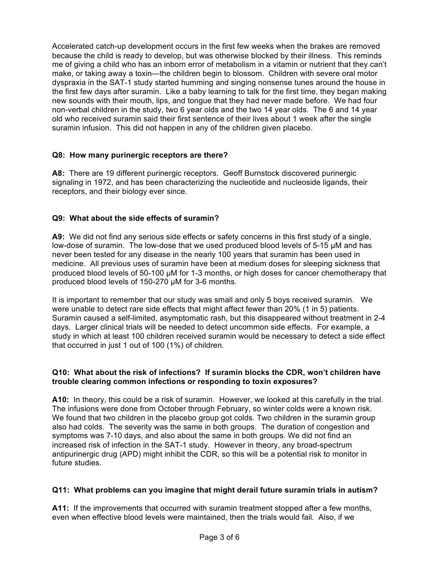Accelerated catch-up development occurs in the first few weeks when the brakes are removed because the child is ready to develop, but was otherwise blocked by their illness. This reminds me of giving a child who has an inborn error of metabolism in a vitamin or nutrient that they can't make, or taking away a toxin—the children begin to blossom. Children with severe oral motor dyspraxia in the SAT-1 study started humming and singing nonsense tunes around the house in the first few days after suramin. Like a baby learning to talk for the first time, they began making new sounds with their mouth, lips, and tongue that they had never made before. We had four non-verbal children in the study, two 6 year olds and the two 14 year olds. The 6 and 14 year old who received suramin said their first sentence of their lives about 1 week after the single suramin infusion. This did not happen in any of the children given placebo.

## **Q8: How many purinergic receptors are there?**

**A8:** There are 19 different purinergic receptors. Geoff Burnstock discovered purinergic signaling in 1972, and has been characterizing the nucleotide and nucleoside ligands, their receptors, and their biology ever since.

## **Q9: What about the side effects of suramin?**

**A9:** We did not find any serious side effects or safety concerns in this first study of a single, low-dose of suramin. The low-dose that we used produced blood levels of 5-15 µM and has never been tested for any disease in the nearly 100 years that suramin has been used in medicine. All previous uses of suramin have been at medium doses for sleeping sickness that produced blood levels of 50-100 µM for 1-3 months, or high doses for cancer chemotherapy that produced blood levels of 150-270 µM for 3-6 months.

It is important to remember that our study was small and only 5 boys received suramin. We were unable to detect rare side effects that might affect fewer than 20% (1 in 5) patients. Suramin caused a self-limited, asymptomatic rash, but this disappeared without treatment in 2-4 days. Larger clinical trials will be needed to detect uncommon side effects. For example, a study in which at least 100 children received suramin would be necessary to detect a side effect that occurred in just 1 out of 100 (1%) of children.

## **Q10: What about the risk of infections? If suramin blocks the CDR, won't children have trouble clearing common infections or responding to toxin exposures?**

**A10:** In theory, this could be a risk of suramin. However, we looked at this carefully in the trial. The infusions were done from October through February, so winter colds were a known risk. We found that two children in the placebo group got colds. Two children in the suramin group also had colds. The severity was the same in both groups. The duration of congestion and symptoms was 7-10 days, and also about the same in both groups. We did not find an increased risk of infection in the SAT-1 study. However in theory, any broad-spectrum antipurinergic drug (APD) might inhibit the CDR, so this will be a potential risk to monitor in future studies.

## **Q11: What problems can you imagine that might derail future suramin trials in autism?**

**A11:** If the improvements that occurred with suramin treatment stopped after a few months, even when effective blood levels were maintained, then the trials would fail. Also, if we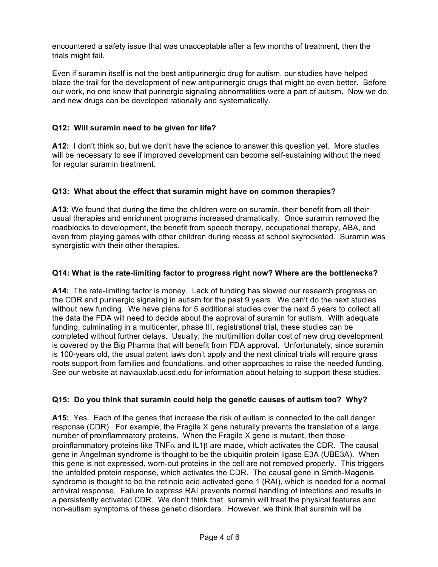encountered a safety issue that was unacceptable after a few months of treatment, then the trials might fail.

Even if suramin itself is not the best antipurinergic drug for autism, our studies have helped blaze the trail for the development of new antipurinergic drugs that might be even better. Before our work, no one knew that purinergic signaling abnormalities were a part of autism. Now we do, and new drugs can be developed rationally and systematically.

## **Q12: Will suramin need to be given for life?**

**A12:** I don't think so, but we don't have the science to answer this question yet. More studies will be necessary to see if improved development can become self-sustaining without the need for regular suramin treatment.

## **Q13: What about the effect that suramin might have on common therapies?**

**A13:** We found that during the time the children were on suramin, their benefit from all their usual therapies and enrichment programs increased dramatically. Once suramin removed the roadblocks to development, the benefit from speech therapy, occupational therapy, ABA, and even from playing games with other children during recess at school skyrocketed. Suramin was synergistic with their other therapies.

## **Q14: What is the rate-limiting factor to progress right now? Where are the bottlenecks?**

**A14:** The rate-limiting factor is money. Lack of funding has slowed our research progress on the CDR and purinergic signaling in autism for the past 9 years. We can't do the next studies without new funding. We have plans for 5 additional studies over the next 5 years to collect all the data the FDA will need to decide about the approval of suramin for autism. With adequate funding, culminating in a multicenter, phase III, registrational trial, these studies can be completed without further delays. Usually, the multimillion dollar cost of new drug development is covered by the Big Pharma that will benefit from FDA approval. Unfortunately, since suramin is 100-years old, the usual patent laws don't apply and the next clinical trials will require grass roots support from families and foundations, and other approaches to raise the needed funding. See our website at naviauxlab.ucsd.edu for information about helping to support these studies.

## **Q15: Do you think that suramin could help the genetic causes of autism too? Why?**

**A15:** Yes. Each of the genes that increase the risk of autism is connected to the cell danger response (CDR). For example, the Fragile X gene naturally prevents the translation of a large number of proinflammatory proteins. When the Fragile X gene is mutant, then those proinflammatory proteins like TNF $\alpha$  and IL1 $\beta$  are made, which activates the CDR. The causal gene in Angelman syndrome is thought to be the ubiquitin protein ligase E3A (UBE3A). When this gene is not expressed, worn-out proteins in the cell are not removed properly. This triggers the unfolded protein response, which activates the CDR. The causal gene in Smith-Magenis syndrome is thought to be the retinoic acid activated gene 1 (RAI), which is needed for a normal antiviral response. Failure to express RAI prevents normal handling of infections and results in a persistently activated CDR. We don't think that suramin will treat the physical features and non-autism symptoms of these genetic disorders. However, we think that suramin will be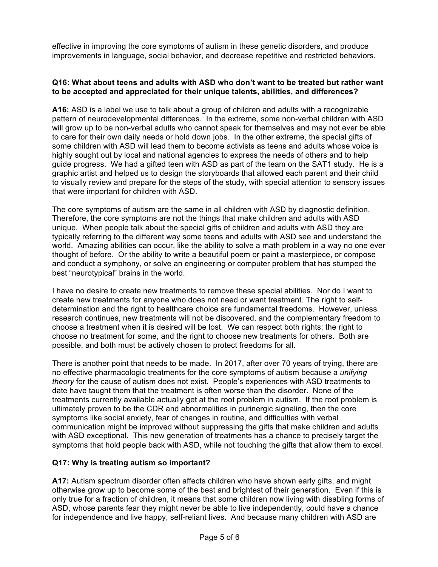effective in improving the core symptoms of autism in these genetic disorders, and produce improvements in language, social behavior, and decrease repetitive and restricted behaviors.

#### **Q16: What about teens and adults with ASD who don't want to be treated but rather want to be accepted and appreciated for their unique talents, abilities, and differences?**

**A16:** ASD is a label we use to talk about a group of children and adults with a recognizable pattern of neurodevelopmental differences. In the extreme, some non-verbal children with ASD will grow up to be non-verbal adults who cannot speak for themselves and may not ever be able to care for their own daily needs or hold down jobs. In the other extreme, the special gifts of some children with ASD will lead them to become activists as teens and adults whose voice is highly sought out by local and national agencies to express the needs of others and to help guide progress. We had a gifted teen with ASD as part of the team on the SAT1 study. He is a graphic artist and helped us to design the storyboards that allowed each parent and their child to visually review and prepare for the steps of the study, with special attention to sensory issues that were important for children with ASD.

The core symptoms of autism are the same in all children with ASD by diagnostic definition. Therefore, the core symptoms are not the things that make children and adults with ASD unique. When people talk about the special gifts of children and adults with ASD they are typically referring to the different way some teens and adults with ASD see and understand the world. Amazing abilities can occur, like the ability to solve a math problem in a way no one ever thought of before. Or the ability to write a beautiful poem or paint a masterpiece, or compose and conduct a symphony, or solve an engineering or computer problem that has stumped the best "neurotypical" brains in the world.

I have no desire to create new treatments to remove these special abilities. Nor do I want to create new treatments for anyone who does not need or want treatment. The right to selfdetermination and the right to healthcare choice are fundamental freedoms. However, unless research continues, new treatments will not be discovered, and the complementary freedom to choose a treatment when it is desired will be lost. We can respect both rights; the right to choose no treatment for some, and the right to choose new treatments for others. Both are possible, and both must be actively chosen to protect freedoms for all.

There is another point that needs to be made. In 2017, after over 70 years of trying, there are no effective pharmacologic treatments for the core symptoms of autism because a *unifying theory* for the cause of autism does not exist. People's experiences with ASD treatments to date have taught them that the treatment is often worse than the disorder. None of the treatments currently available actually get at the root problem in autism. If the root problem is ultimately proven to be the CDR and abnormalities in purinergic signaling, then the core symptoms like social anxiety, fear of changes in routine, and difficulties with verbal communication might be improved without suppressing the gifts that make children and adults with ASD exceptional. This new generation of treatments has a chance to precisely target the symptoms that hold people back with ASD, while not touching the gifts that allow them to excel.

## **Q17: Why is treating autism so important?**

**A17:** Autism spectrum disorder often affects children who have shown early gifts, and might otherwise grow up to become some of the best and brightest of their generation. Even if this is only true for a fraction of children, it means that some children now living with disabling forms of ASD, whose parents fear they might never be able to live independently, could have a chance for independence and live happy, self-reliant lives. And because many children with ASD are